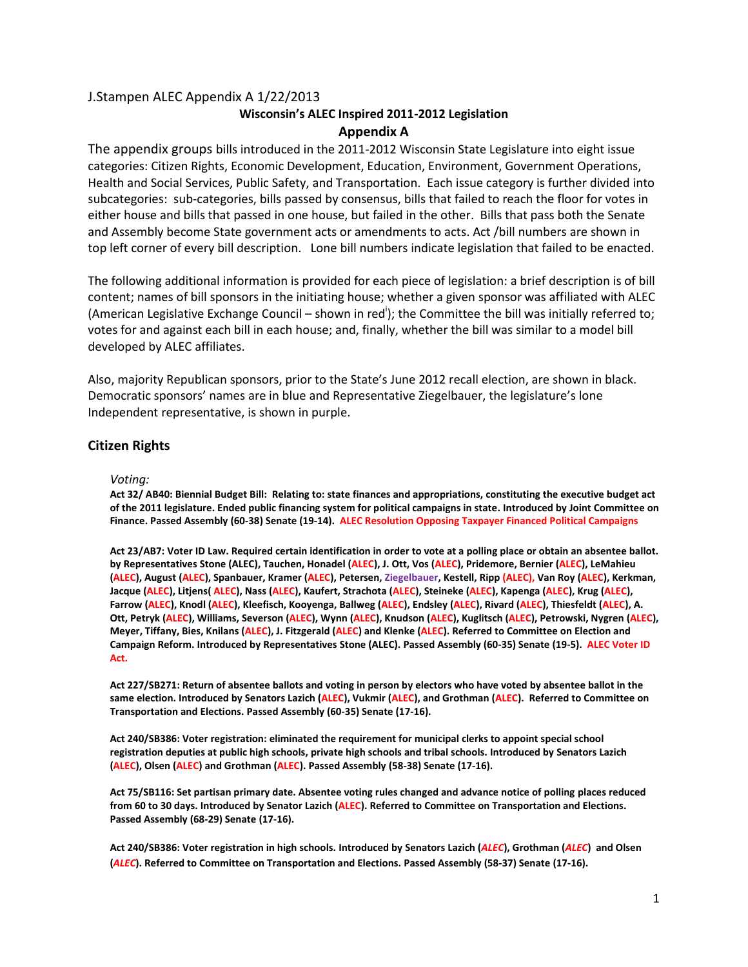# J.Stampen ALEC Appendix A 1/22/2013

# **Wisconsin's ALEC Inspired 2011-2012 Legislation**

# **Appendix A**

The appendix groups bills introduced in the 2011-2012 Wisconsin State Legislature into eight issue categories: Citizen Rights, Economic Development, Education, Environment, Government Operations, Health and Social Services, Public Safety, and Transportation. Each issue category is further divided into subcategories: sub-categories, bills passed by consensus, bills that failed to reach the floor for votes in either house and bills that passed in one house, but failed in the other. Bills that pass both the Senate and Assembly become State government acts or amendments to acts. Act /bill numbers are shown in top left corner of every bill description. Lone bill numbers indicate legislation that failed to be enacted.

The following additional information is provided for each piece of legislation: a brief description is of bill content; names of bill sponsors in the initiating house; whether a given sponsor was affiliated with ALEC (American Legislative Exchange Council – shown in red<sup>i</sup>); the Committee the bill was initially referred to; votes for and against each bill in each house; and, finally, whether the bill was similar to a model bill developed by ALEC affiliates.

Also, majority Republican sponsors, prior to the State's June 2012 recall election, are shown in black. Democratic sponsors' names are in blue and Representative Ziegelbauer, the legislature's lone Independent representative, is shown in purple.

# **Citizen Rights**

# *Voting:*

**Act 32/ AB40: Biennial Budget Bill: Relating to: state finances and appropriations, constituting the executive budget act of the 2011 legislature. Ended public financing system for political campaigns in state. Introduced by Joint Committee on Finance. Passed Assembly (60-38) Senate (19-14). ALEC Resolution Opposing Taxpayer Financed Political Campaigns**

**Act 23/AB7: Voter ID Law. Required certain identification in order to vote at a polling place or obtain an absentee ballot. by Representatives Stone (ALEC), Tauchen, Honadel (ALEC), J. Ott, Vos (ALEC), Pridemore, Bernier (ALEC), LeMahieu (ALEC), August (ALEC), Spanbauer, Kramer (ALEC), Petersen, Ziegelbauer, Kestell, Ripp (ALEC), Van Roy (ALEC), Kerkman, Jacque (ALEC), Litjens( ALEC), Nass (ALEC), Kaufert, Strachota (ALEC), Steineke (ALEC), Kapenga (ALEC), Krug (ALEC), Farrow (ALEC), Knodl (ALEC), Kleefisch, Kooyenga, Ballweg (ALEC), Endsley (ALEC), Rivard (ALEC), Thiesfeldt (ALEC), A. Ott, Petryk (ALEC), Williams, Severson (ALEC), Wynn (ALEC), Knudson (ALEC), Kuglitsch (ALEC), Petrowski, Nygren (ALEC), Meyer, Tiffany, Bies, Knilans (ALEC), J. Fitzgerald (ALEC) and Klenke (ALEC). Referred to Committee on Election and Campaign Reform. Introduced by Representatives Stone (ALEC). Passed Assembly (60-35) Senate (19-5). ALEC Voter ID Act.** 

**Act 227/SB271: Return of absentee ballots and voting in person by electors who have voted by absentee ballot in the same election. Introduced by Senators Lazich (ALEC), Vukmir (ALEC), and Grothman (ALEC). Referred to Committee on Transportation and Elections. Passed Assembly (60-35) Senate (17-16).**

**Act 240/SB386: Voter registration: eliminated the requirement for municipal clerks to appoint special school registration deputies at public high schools, private high schools and tribal schools. Introduced by Senators Lazich (ALEC), Olsen (ALEC) and Grothman (ALEC). Passed Assembly (58-38) Senate (17-16).** 

**Act 75/SB116: Set partisan primary date. Absentee voting rules changed and advance notice of polling places reduced from 60 to 30 days. Introduced by Senator Lazich (ALEC). Referred to Committee on Transportation and Elections. Passed Assembly (68-29) Senate (17-16).** 

**Act 240/SB386: Voter registration in high schools. Introduced by Senators Lazich (***ALEC***), Grothman (***ALEC***) and Olsen (***ALEC***). Referred to Committee on Transportation and Elections. Passed Assembly (58-37) Senate (17-16).**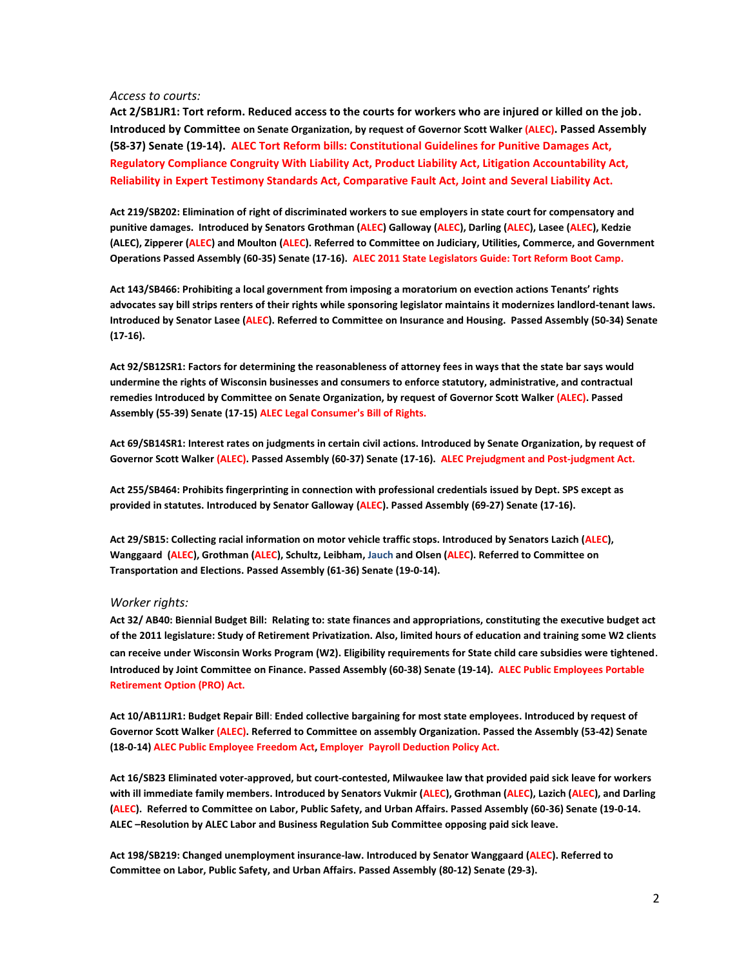#### *Access to courts:*

**Act 2/SB1JR1: Tort reform. Reduced access to the courts for workers who are injured or killed on the job. Introduced by Committee on Senate Organization, by request of Governor Scott Walker (ALEC). Passed Assembly (58-37) Senate (19-14). ALEC Tort Reform bills: Constitutional Guidelines for Punitive Damages Act, Regulatory Compliance Congruity With Liability Act, Product Liability Act, Litigation Accountability Act, Reliability in Expert Testimony Standards Act, Comparative Fault Act, Joint and Several Liability Act.** 

**Act 219/SB202: Elimination of right of discriminated workers to sue employers in state court for compensatory and punitive damages. Introduced by Senators Grothman (ALEC) Galloway (ALEC), Darling (ALEC), Lasee (ALEC), Kedzie (ALEC), Zipperer (ALEC) and Moulton (ALEC). Referred to Committee on Judiciary, Utilities, Commerce, and Government Operations Passed Assembly (60-35) Senate (17-16). ALEC 2011 State Legislators Guide: Tort Reform Boot Camp.**

**Act 143/SB466: Prohibiting a local government from imposing a moratorium on evection actions Tenants' rights advocates say bill strips renters of their rights while sponsoring legislator maintains it modernizes landlord-tenant laws. Introduced by Senator Lasee (ALEC). Referred to Committee on Insurance and Housing. Passed Assembly (50-34) Senate (17-16).**

**Act 92/SB12SR1: Factors for determining the reasonableness of attorney fees in ways that the state bar says would undermine the rights of Wisconsin businesses and consumers to enforce statutory, administrative, and contractual remedies Introduced by Committee on Senate Organization, by request of Governor Scott Walker (ALEC). Passed Assembly (55-39) Senate (17-15) ALEC Legal Consumer's Bill of Rights.**

**Act 69/SB14SR1: Interest rates on judgments in certain civil actions. Introduced by Senate Organization, by request of Governor Scott Walker (ALEC). Passed Assembly (60-37) Senate (17-16). ALEC Prejudgment and Post-judgment Act.**

**Act 255/SB464: Prohibits fingerprinting in connection with professional credentials issued by Dept. SPS except as provided in statutes. Introduced by Senator Galloway (ALEC). Passed Assembly (69-27) Senate (17-16).**

**Act 29/SB15: Collecting racial information on motor vehicle traffic stops. Introduced by Senators Lazich (ALEC), Wanggaard (ALEC), Grothman (ALEC), Schultz, Leibham, Jauch and Olsen (ALEC). Referred to Committee on Transportation and Elections. Passed Assembly (61-36) Senate (19-0-14).** 

## *Worker rights:*

**Act 32/ AB40: Biennial Budget Bill: Relating to: state finances and appropriations, constituting the executive budget act of the 2011 legislature: Study of Retirement Privatization. Also, limited hours of education and training some W2 clients can receive under Wisconsin Works Program (W2). Eligibility requirements for State child care subsidies were tightened**. **Introduced by Joint Committee on Finance. Passed Assembly (60-38) Senate (19-14). ALEC Public Employees Portable Retirement Option (PRO) Act.**

**Act 10/AB11JR1: Budget Repair Bill**: **Ended collective bargaining for most state employees. Introduced by request of Governor Scott Walker (ALEC). Referred to Committee on assembly Organization. Passed the Assembly (53-42) Senate (18-0-14) ALEC Public Employee Freedom Act, Employer Payroll Deduction Policy Act.** 

**Act 16/SB23 Eliminated voter-approved, but court-contested, Milwaukee law that provided paid sick leave for workers with ill immediate family members. Introduced by Senators Vukmir (ALEC), Grothman (ALEC), Lazich (ALEC), and Darling (ALEC). Referred to Committee on Labor, Public Safety, and Urban Affairs. Passed Assembly (60-36) Senate (19-0-14. ALEC –Resolution by ALEC Labor and Business Regulation Sub Committee opposing paid sick leave.**

**Act 198/SB219: Changed unemployment insurance-law. Introduced by Senator Wanggaard (ALEC). Referred to Committee on Labor, Public Safety, and Urban Affairs. Passed Assembly (80-12) Senate [\(29-3\)](https://docs.legis.wisconsin.gov/document/votes/2011/sv0312).**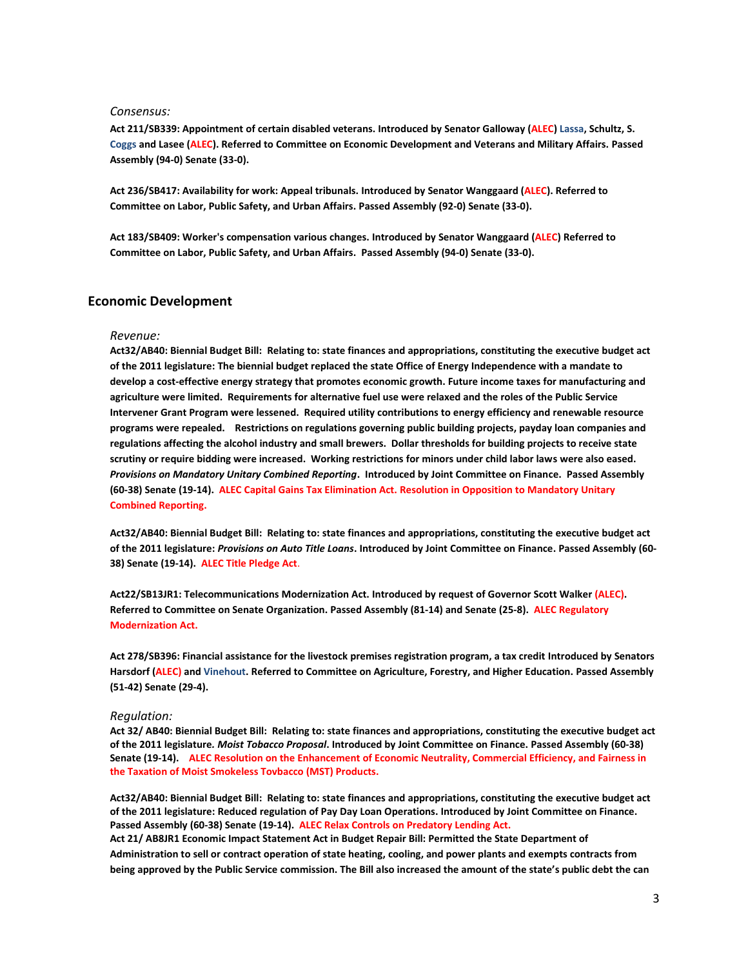## *Consensus:*

**Act 211/SB339: Appointment of certain disabled veterans. Introduced by Senator Galloway (ALEC) Lassa, Schultz, S. Coggs and Lasee (ALEC). Referred to [Committee](https://docs.legis.wisconsin.gov/2011/committees/497) on Economic Development and Veterans and Military Affairs. Passed Assembly (94-0) Senate (33-0).**

**Act 236/SB417: Availability for work: Appeal tribunals. Introduced by Senator Wanggaard (ALEC). Referred to Committee on Labor, Public Safety, and Urban Affairs. Passed Assembly (92-0) Senate (33-0).**

**Act 183/SB409: Worker's compensation various changes. Introduced by Senator Wanggaard (ALEC) Referred to Committee on Labor, Public Safety, and Urban Affairs. Passed Assembly (94-0) Senate (33-0).**

# **Economic Development**

#### *Revenue:*

**Act32/AB40: Biennial Budget Bill: Relating to: state finances and appropriations, constituting the executive budget act of the 2011 legislature: The biennial budget replaced the state Office of Energy Independence with a mandate to develop a cost-effective energy strategy that promotes economic growth. Future income taxes for manufacturing and agriculture were limited. Requirements for alternative fuel use were relaxed and the roles of the Public Service Intervener Grant Program were lessened. Required utility contributions to energy efficiency and renewable resource programs were repealed. Restrictions on regulations governing public building projects, payday loan companies and regulations affecting the alcohol industry and small brewers. Dollar thresholds for building projects to receive state scrutiny or require bidding were increased. Working restrictions for minors under child labor laws were also eased.** *Provisions on Mandatory Unitary Combined Reporting***. Introduced by Joint Committee on Finance. Passed Assembly (60-38) Senate (19-14). ALEC Capital Gains Tax Elimination Act. Resolution in Opposition to Mandatory Unitary Combined Reporting.**

**Act32/AB40: Biennial Budget Bill: Relating to: state finances and appropriations, constituting the executive budget act of the 2011 legislature:** *Provisions on Auto Title Loans***. Introduced by Joint Committee on Finance. Passed Assembly (60- 38) Senate (19-14). ALEC Title Pledge Act**.

**Act22/SB13JR1: Telecommunications Modernization Act. Introduced by request of Governor Scott Walker (ALEC). Referred to Committee on Senate Organization. Passed Assembly (81-14) and Senate (25-8). ALEC Regulatory Modernization Act.** 

**Act 278/SB396: Financial assistance for the livestock premises registration program, a tax credit Introduced by Senators Harsdorf (ALEC) and Vinehout. Referred to Committee on Agriculture, Forestry, and Higher Education. Passed Assembly (51-42) Senate (29-4).**

#### *Regulation:*

**Act 32/ AB40: Biennial Budget Bill: Relating to: state finances and appropriations, constituting the executive budget act of the 2011 legislature***. Moist Tobacco Proposal***. Introduced by Joint Committee on Finance. Passed Assembly (60-38) Senate (19-14). ALEC Resolution on the Enhancement of Economic Neutrality, Commercial Efficiency, and Fairness in the Taxation of Moist Smokeless Tovbacco (MST) Products.**

**Act32/AB40: Biennial Budget Bill: Relating to: state finances and appropriations, constituting the executive budget act of the 2011 legislature: Reduced regulation of Pay Day Loan Operations. Introduced by Joint Committee on Finance. Passed Assembly (60-38) Senate (19-14). ALEC Relax Controls on Predatory Lending Act.**

**Act 21/ AB8JR1 Economic Impact Statement Act in Budget Repair Bill: Permitted the State Department of Administration to sell or contract operation of state heating, cooling, and power plants and exempts contracts from being approved by the Public Service commission. The Bill also increased the amount of the state's public debt the can**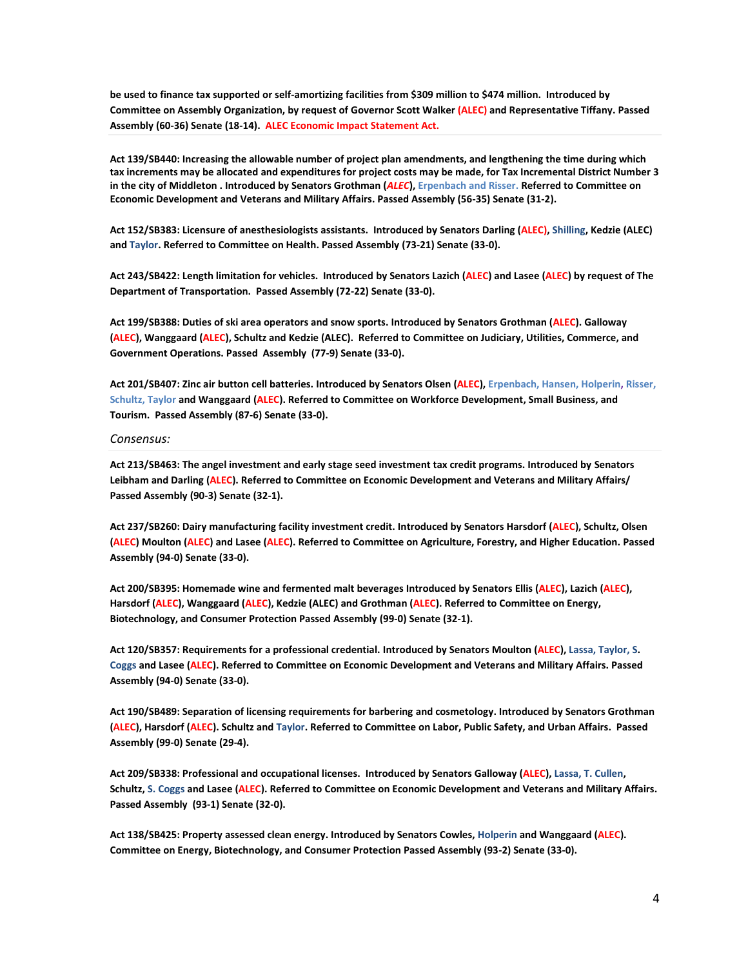**be used to finance tax supported or self-amortizing facilities from \$309 million to \$474 million. Introduced by Committee on Assembly Organization, by request of Governor Scott Walker (ALEC) and Representative Tiffany. Passed Assembly (60-36) Senate (18-14). ALEC Economic Impact Statement Act.**

**Act 139/SB440: Increasing the allowable number of project plan amendments, and lengthening the time during which tax increments may be allocated and expenditures for project costs may be made, for Tax Incremental District Number 3 in the city of Middleton . Introduced by Senators Grothman (***ALEC***), Erpenbach and Risser. Referred t[o Committee](https://docs.legis.wisconsin.gov/2011/committees/497) on Economic Development and Veterans and Military Affairs. Passed Assembly (56-35) Senate (31-2).** 

**Act 152/SB383: Licensure of anesthesiologists assistants. Introduced by Senators Darling (ALEC), Shilling, Kedzie (ALEC) and Taylor. Referred to Committee on Health. Passed Assembly (73-21) Senate (33-0).**

**Act 243/SB422: Length limitation for vehicles. Introduced by Senators Lazich (ALEC) and Lasee (ALEC) by request of The Department of Transportation. Passed Assembly (72-22) Senate (33-0).**

**Act 199/SB388: Duties of ski area operators and snow sports. Introduced by Senators Grothman (ALEC). Galloway (ALEC), Wanggaard (ALEC), Schultz and Kedzie (ALEC). Referred to Committee on Judiciary, Utilities, Commerce, and Government Operations. Passed Assembly (77-9) Senate (33-0).**

**Act 201/SB407: Zinc air button cell batteries. Introduced by Senators Olsen (ALEC), Erpenbach, Hansen, Holperin, Risser, Schultz, Taylor and Wanggaard (ALEC). Referred t[o Committee](https://docs.legis.wisconsin.gov/2011/committees/511) on Workforce Development, Small Business, and Tourism. Passed Assembly (87-6) Senate (33-0).**

## *Consensus:*

**Act 213/SB463: The angel investment and early stage seed investment tax credit programs. Introduced by Senators Leibham and Darling (ALEC). Referred to Committee on Economic Development and Veterans and Military Affairs/ Passed Assembly (90-3) Senate (32-1).**

**Act 237/SB260: Dairy manufacturing facility investment credit. Introduced by Senators Harsdorf (ALEC), Schultz, Olsen (ALEC) Moulton (ALEC) and Lasee (ALEC). Referred to Committee on Agriculture, Forestry, and Higher Education. Passed Assembly (94-0) Senate (33-0).**

**Act 200/SB395: Homemade wine and fermented malt beverages Introduced by Senators Ellis (ALEC), Lazich (ALEC), Harsdorf (ALEC), Wanggaard (ALEC), Kedzie (ALEC) and Grothman (ALEC). Referred to Committee on Energy, Biotechnology, and Consumer Protection Passed Assembly (99-0) Senate (32-1).** 

**Act 120/SB357: Requirements for a professional credential. Introduced by Senators Moulton (ALEC), Lassa, Taylor, S. Coggs and Lasee (ALEC). Referred to Committee on Economic Development and Veterans and Military Affairs. Passed Assembly (94-0) Senate (33-0).**

**Act 190/SB489: Separation of licensing requirements for barbering and cosmetology. Introduced by Senators Grothman (ALEC), Harsdorf (ALEC). Schultz and Taylor. Referred to Committee on Labor, Public Safety, and Urban Affairs. Passed Assembly (99-0) Senate (29-4).** 

**Act 209/SB338: Professional and occupational licenses. Introduced by Senators Galloway (ALEC), Lassa, T. Cullen, Schultz, S. Coggs and Lasee (ALEC). Referred to Committee on Economic Development and Veterans and Military Affairs. Passed Assembly (93-1) Senate (32-0).**

**Act 138/SB425: Property assessed clean energy. Introduced by Senators Cowles, Holperin and Wanggaard (ALEC). Committee on Energy, Biotechnology, and Consumer Protection Passed Assembly (93-2) Senate (33-0).**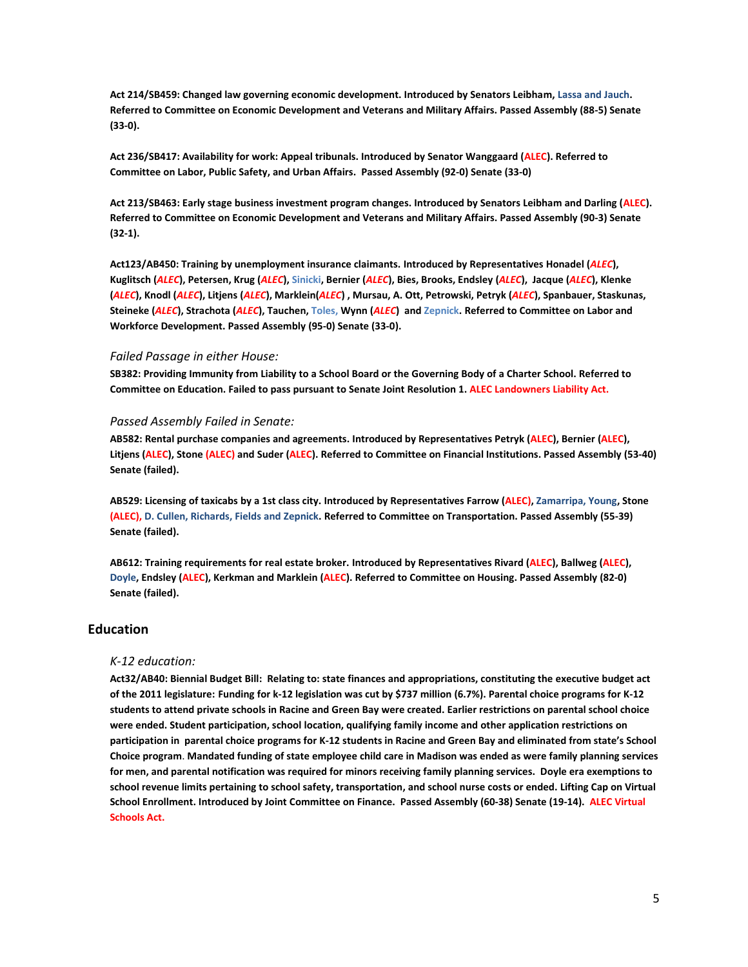**Act 214/SB459: Changed law governing economic development. Introduced by Senators Leibham, Lassa and Jauch. Referred to Committee on Economic Development and Veterans and Military Affairs. Passed Assembly (88-5) Senate (33-0).**

**Act 236/SB417: Availability for work: Appeal tribunals. Introduced by Senator Wanggaard (ALEC). Referred to Committee on Labor, Public Safety, and Urban Affairs. Passed Assembly (92-0) Senate (33-0)**

**Act 213/SB463: Early stage business investment program changes. Introduced by Senators Leibham and Darling (ALEC). Referred to Committee on Economic Development and Veterans and Military Affairs. Passed Assembly (90-3) Senate (32-1).**

**Act123/AB450: Training by unemployment insurance claimants. Introduced by Representatives Honadel (***ALEC***), Kuglitsch (***ALEC***), Petersen, Krug (***ALEC***), Sinicki, Bernier (***ALEC***), Bies, Brooks, Endsley (***ALEC***), Jacque (***ALEC***), Klenke (***ALEC***), Knodl (***ALEC***), Litjens (***ALEC***), Marklein(***ALEC***) , Mursau, A. Ott, Petrowski, Petryk (***ALEC***), Spanbauer, Staskunas, Steineke (***ALEC***), Strachota (***ALEC***), Tauchen, Toles, Wynn (***ALEC***) and Zepnick. Referred to Committee on Labor and Workforce Development. Passed Assembly (95-0) Senate (33-0).**

# *Failed Passage in either House:*

**SB382: Providing Immunity from Liability to a School Board or the Governing Body of a Charter School. Referred to Committee on Education. Failed to pass pursuant to Senate Joint Resolution 1. ALEC Landowners Liability Act.**

# *Passed Assembly Failed in Senate:*

**AB582: Rental purchase companies and agreements. Introduced by Representatives Petryk (ALEC), Bernier (ALEC), Litjens (ALEC), Stone (ALEC) and Suder (ALEC). Referred to Committee on Financial Institutions. Passed Assembly (53-40) Senate (failed).**

**AB529: Licensing of taxicabs by a 1st class city. Introduced by Representatives Farrow (ALEC), Zamarripa, Young, Stone (ALEC), D. Cullen, Richards, Fields and Zepnick. Referred to Committee on Transportation. Passed Assembly (55-39) Senate (failed).**

**AB612: Training requirements for real estate broker. Introduced by Representatives Rivard (ALEC), Ballweg (ALEC), Doyle, Endsley (ALEC), Kerkman and Marklein (ALEC). Referred to Committee on Housing. Passed Assembly (82-0) Senate (failed).**

# **Education**

# *K-12 education:*

**Act32/AB40: Biennial Budget Bill: Relating to: state finances and appropriations, constituting the executive budget act of the 2011 legislature: Funding for k-12 legislation was cut by \$737 million (6.7%). Parental choice programs for K-12 students to attend private schools in Racine and Green Bay were created. Earlier restrictions on parental school choice were ended. Student participation, school location, qualifying family income and other application restrictions on participation in parental choice programs for K-12 students in Racine and Green Bay and eliminated from state's School Choice program**. **Mandated funding of state employee child care in Madison was ended as were family planning services for men, and parental notification was required for minors receiving family planning services. Doyle era exemptions to school revenue limits pertaining to school safety, transportation, and school nurse costs or ended. Lifting Cap on Virtual School Enrollment. Introduced by Joint Committee on Finance. Passed Assembly (60-38) Senate (19-14). ALEC Virtual Schools Act.**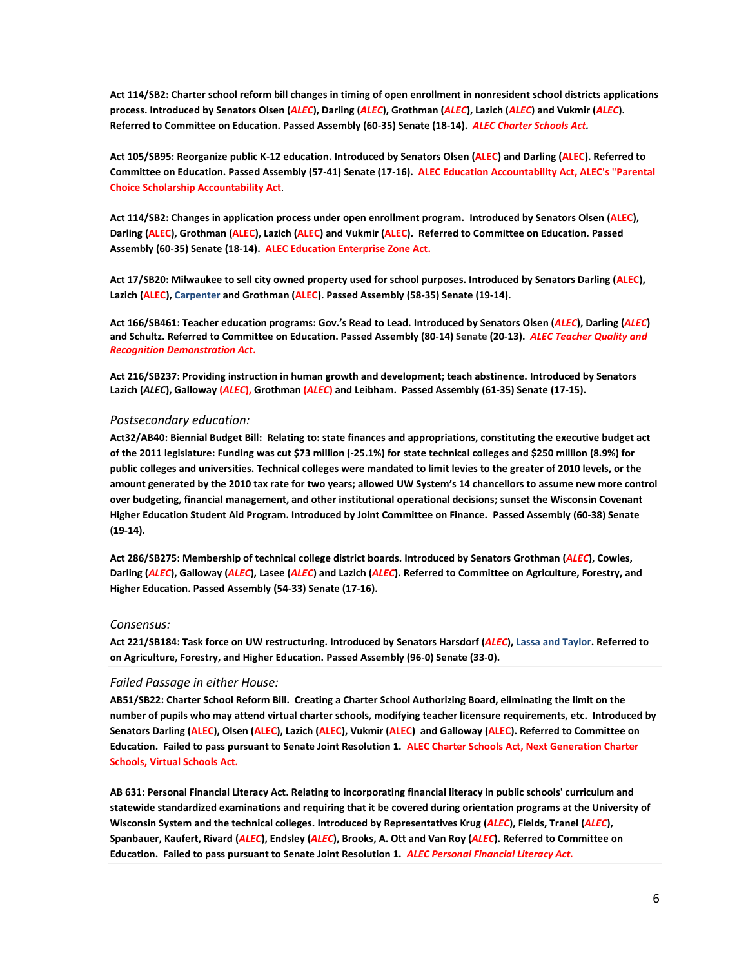**Act 114/SB2: Charter school reform bill changes in timing of open enrollment in nonresident school districts applications process. Introduced by Senators Olsen (***ALEC***), Darling (***ALEC***), Grothman (***ALEC***), Lazich (***ALEC***) and Vukmir (***ALEC***). Referred to Committee on Education. Passed Assembly (60-35) Senate (18-14).** *ALE[C Charter Schools Act.](http://alecexposed.org/w/images/9/9a/2D1-Charter_Schools_Act_Exposed.pdf)*

**Act 105/SB95: Reorganize public K-12 education. Introduced by Senators Olsen (ALEC) and Darling (ALEC). Referred to Committee on Education. Passed Assembly (57-41) Senate (17-16). ALE[C Education Accountability Act,](http://alecexposed.org/w/images/e/e7/2E3-Education_Accountability_Act_Exposed.pdf) ALEC's "Parental Choice Scholarship Accountability Act**.

**Act 114/SB2: Changes in application process under open enrollment program. Introduced by Senators Olsen (ALEC), Darling (ALEC), Grothman (ALEC), Lazich (ALEC) and Vukmir (ALEC). Referred to Committee on Education. Passed Assembly (60-35) Senate (18-14). ALEC [Education Enterprise Zone Act.](http://alecexposed.org/w/images/a/a3/2D2-Education_Enterprise_Zone_Act_Exposed.pdf)**

**Act 17/SB20: Milwaukee to sell city owned property used for school purposes. Introduced by Senators Darling (ALEC), Lazich (ALEC), Carpenter and Grothman (ALEC). Passed Assembly (58-35) Senate (19-14).**

**Act 166/SB461: Teacher education programs: Gov.'s Read to Lead. Introduced by Senators Olsen (***ALEC***), Darling (***ALEC***) and Schultz. Referred to Committee on Education. Passed Assembly (80-14) Senate (20-13).** *ALE[C Teacher Quality and](http://alecexposed.org/w/images/6/67/2F7-Teacher_Quality_and_Recognition_Demonstration_Act_Exposed.pdf)  [Recognition Demonstration Act](http://alecexposed.org/w/images/6/67/2F7-Teacher_Quality_and_Recognition_Demonstration_Act_Exposed.pdf)***.** 

**Act 216/SB237: Providing instruction in human growth and development; teach abstinence. Introduced by Senators Lazich (***ALEC***), Galloway (***ALEC***), Grothman (***ALEC***) and Leibham. Passed Assembly (61-35) Senate (17-15).**

# *Postsecondary education:*

**Act32/AB40: Biennial Budget Bill: Relating to: state finances and appropriations, constituting the executive budget act of the 2011 legislature: Funding was cut \$73 million (-25.1%) for state technical colleges and \$250 million (8.9%) for public colleges and universities. Technical colleges were mandated to limit levies to the greater of 2010 levels, or the amount generated by the 2010 tax rate for two years; allowed UW System's 14 chancellors to assume new more control over budgeting, financial management, and other institutional operational decisions; sunset the Wisconsin Covenant Higher Education Student Aid Program. Introduced by Joint Committee on Finance. Passed Assembly (60-38) Senate (19-14).** 

**Act 286/SB275: Membership of technical college district boards. Introduced by Senators Grothman (***ALEC***), Cowles, Darling (***ALEC***), Galloway (***ALEC***), Lasee (***ALEC***) and Lazich (***ALEC***). Referred to Committee on Agriculture, Forestry, and Higher Education. Passed Assembly (54-33) Senate (17-16).**

# *Consensus:*

**Act 221/SB184: Task force on UW restructuring. Introduced by Senators Harsdorf (***ALEC***), Lassa and Taylor. Referred to on Agriculture, Forestry, and Higher Education. Passed Assembly (96-0) Senate (33-0).**

# *Failed Passage in either House:*

**AB51/SB22: Charter School Reform Bill. Creating a Charter School Authorizing Board, eliminating the limit on the number of pupils who may attend virtual charter schools, modifying teacher licensure requirements, etc. Introduced by Senators Darling (ALEC), Olsen (ALEC), Lazich (ALEC), Vukmir (ALEC) and Galloway (ALEC). Referred to Committee on Education. Failed to pass pursuant to Senate Joint Resolution 1. ALEC Charter Schools Act, Next Generation Charter Schools, Virtual Schools Act.**

**AB 631: Personal Financial Literacy Act. Relating to incorporating financial literacy in public schools' curriculum and statewide standardized examinations and requiring that it be covered during orientation programs at the University of Wisconsin System and the technical colleges. Introduced by Representatives Krug (***ALEC***), Fields, Tranel (***ALEC***), Spanbauer, Kaufert, Rivard (***ALEC***), Endsley (***ALEC***), Brooks, A. Ott and Van Roy (***ALEC***). Referred to Committee on Education. Failed to pass pursuant to Senate Joint Resolution 1.** *ALEC Personal Financial Literacy Act.*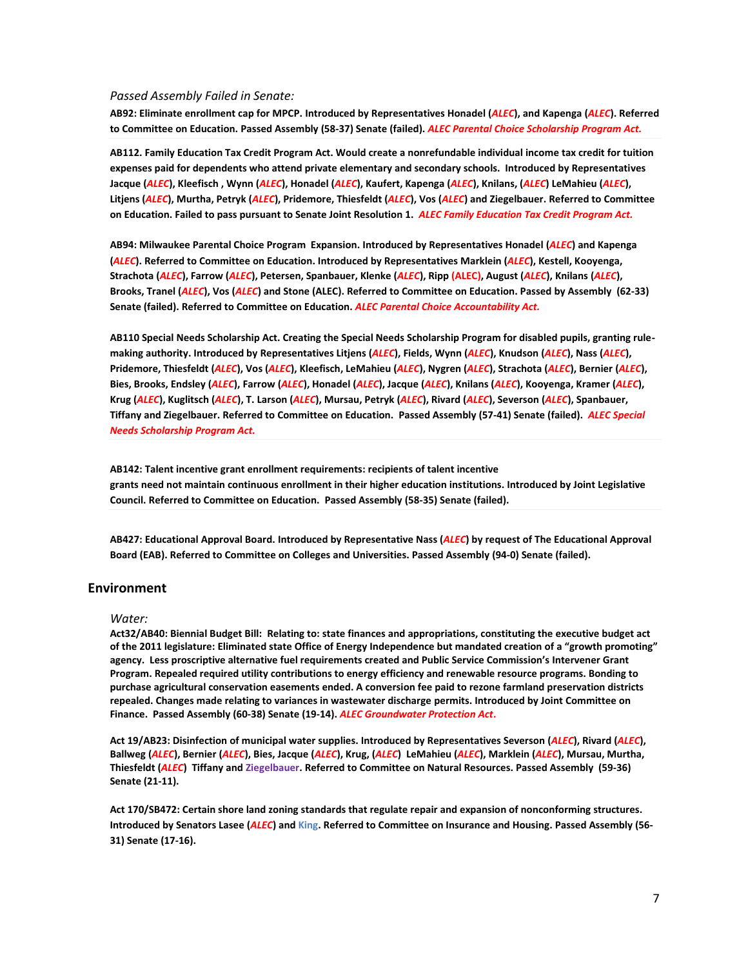### *Passed Assembly Failed in Senate:*

**AB92: Eliminate enrollment cap for MPCP. Introduced by Representatives Honadel (***ALEC***), and Kapenga (***ALEC***). Referred to Committee on Education. Passed Assembly (58-37) Senate (failed).** *ALEC Parental Choice Scholarship Program Act.*

**AB112. Family Education Tax Credit Program Act. Would create a nonrefundable individual income tax credit for tuition expenses paid for dependents who attend private elementary and secondary schools. Introduced by Representatives Jacque (***ALEC***), Kleefisch , Wynn (***ALEC***), Honadel (***ALEC***), Kaufert, Kapenga (***ALEC***), Knilans, (***ALEC***) LeMahieu (***ALEC***), Litjens (***ALEC***), Murtha, Petryk (***ALEC***), Pridemore, Thiesfeldt (***ALEC***), Vos (***ALEC***) and Ziegelbauer. Referred to Committee on Education. Failed to pass pursuant to Senate Joint Resolution 1.** *ALEC Family Education Tax Credit Program Act.*

**AB94: Milwaukee Parental Choice Program Expansion. Introduced by Representatives Honadel (***ALEC***) and Kapenga (***ALEC***). Referred to Committee on Education. Introduced by Representatives Marklein (***ALEC***), Kestell, Kooyenga, Strachota (***ALEC***), Farrow (***ALEC***), Petersen, Spanbauer, Klenke (***ALEC***), Ripp (ALEC), August (***ALEC***), Knilans (***ALEC***), Brooks, Tranel (***ALEC***), Vos (***ALEC***) and Stone (ALEC). Referred to Committee on Education. Passed by Assembly (62-33) Senate (failed). Referred to Committee on Education.** *ALEC Parental Choice Accountability Act.*

**AB110 Special Needs Scholarship Act. Creating the Special Needs Scholarship Program for disabled pupils, granting rulemaking authority. Introduced by Representatives Litjens (***ALEC***), Fields, Wynn (***ALEC***), Knudson (***ALEC***), Nass (***ALEC***), Pridemore, Thiesfeldt (***ALEC***), Vos (***ALEC***), Kleefisch, LeMahieu (***ALEC***), Nygren (***ALEC***), Strachota (***ALEC***), Bernier (***ALEC***), Bies, Brooks, Endsley (***ALEC***), Farrow (***ALEC***), Honadel (***ALEC***), Jacque (***ALEC***), Knilans (***ALEC***), Kooyenga, Kramer (***ALEC***), Krug (***ALEC***), Kuglitsch (***ALEC***), T. Larson (***ALEC***), Mursau, Petryk (***ALEC***), Rivard (***ALEC***), Severson (***ALEC***), Spanbauer, Tiffany and Ziegelbauer. Referred to Committee on Education. Passed Assembly (57-41) Senate (failed).** *ALEC Special Needs Scholarship Program Act.*

**AB142: Talent incentive grant enrollment requirements: recipients of talent incentive grants need not maintain continuous enrollment in their higher education institutions. Introduced by Joint Legislative Council. Referred to Committee on Education. Passed Assembly (58-35) Senate (failed).**

**AB427: Educational Approval Board. Introduced by Representative Nass (***ALEC***) by request of The Educational Approval Board (EAB). Referred to Committee on Colleges and Universities. Passed Assembly (94-0) Senate (failed).**

# **Environment**

#### *Water:*

**Act32/AB40: Biennial Budget Bill: Relating to: state finances and appropriations, constituting the executive budget act of the 2011 legislature: Eliminated state Office of Energy Independence but mandated creation of a "growth promoting" agency. Less proscriptive alternative fuel requirements created and Public Service Commission's Intervener Grant Program. Repealed required utility contributions to energy efficiency and renewable resource programs. Bonding to purchase agricultural conservation easements ended. A conversion fee paid to rezone farmland preservation districts repealed. Changes made relating to variances in wastewater discharge permits. Introduced by Joint Committee on Finance. Passed Assembly (60-38) Senate (19-14).** *ALEC Groundwater Protection Act***.**

**Act 19/AB23: Disinfection of municipal water supplies. Introduced by Representatives Severson (***ALEC***), Rivard (***ALEC***),**  Ballweg (ALEC), Bernier (ALEC), Bies, Jacque (ALEC), Krug, (ALEC) LeMahieu (ALEC), Marklein (ALEC), Mursau, Murtha, **Thiesfeldt (***ALEC***) Tiffany and Ziegelbauer. Referred to Committee on Natural Resources. Passed Assembly (59-36) Senate (21-11).** 

**Act 170/SB472: Certain shore land zoning standards that regulate repair and expansion of nonconforming structures. Introduced by Senators Lasee (***ALEC***) and King. Referred to Committee on Insurance and Housing. Passed Assembly (56- 31) Senate (17-16).**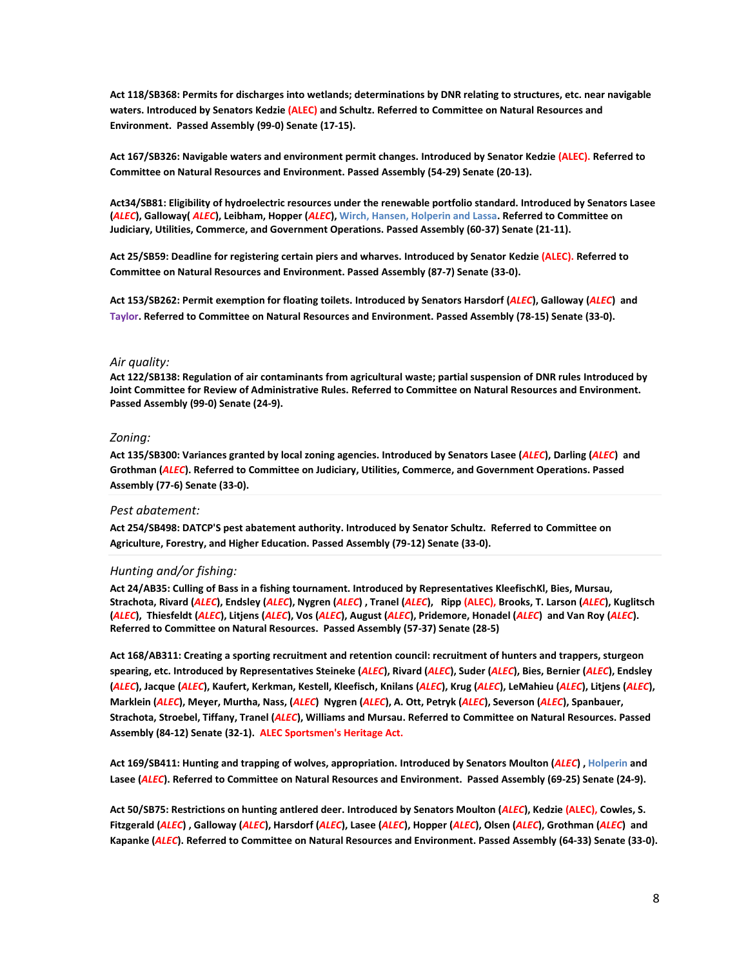**Act 118/SB368: Permits for discharges into wetlands; determinations by DNR relating to structures, etc. near navigable waters. Introduced by Senators Kedzie (ALEC) and Schultz. Referred to Committee on Natural Resources and Environment. Passed Assembly (99-0) Senate (17-15).**

**Act 167/SB326: Navigable waters and environment permit changes. Introduced by Senator Kedzie (ALEC). Referred to [Committee](https://docs.legis.wisconsin.gov/2011/committees/506) on Natural Resources and Environment. Passed Assembly (54-29) Senate (20-13).**

**Act34/SB81: Eligibility of hydroelectric resources under the renewable portfolio standard. Introduced by Senators Lasee (***ALEC***), Galloway(** *ALEC***), Leibham, Hopper (***ALEC***), Wirch, Hansen, Holperin and Lassa. Referred to Committee on Judiciary, Utilities, Commerce, and Government Operations. Passed Assembly (60-37) Senate (21-11).** 

**Act 25/SB59: Deadline for registering certain piers and wharves. Introduced by Senator Kedzie (ALEC). Referred to Committee on Natural Resources and Environment. Passed Assembly (87-7) Senate (33-0).**

**Act 153/SB262: Permit exemption for floating toilets. Introduced by Senators Harsdorf (***ALEC***), Galloway (***ALEC***) and Taylor. Referred t[o Committee](https://docs.legis.wisconsin.gov/2011/committees/506) on Natural Resources and Environment. Passed Assembly (78-15) Senate (33-0).**

# *Air quality:*

**Act 122/SB138: Regulation of air contaminants from agricultural waste; partial suspension of DNR rules Introduced by Joint [Committee](https://docs.legis.wisconsin.gov/2011/committees/2) for Review of Administrative Rules. Referred to Committee on Natural Resources and Environment. Passed Assembly (99-0) Senate (24-9).**

#### *Zoning:*

**Act 135/SB300: Variances granted by local zoning agencies. Introduced by Senators Lasee (***ALEC***), Darling (***ALEC***) and Grothman (***ALEC***). Referred t[o Committee](https://docs.legis.wisconsin.gov/2011/committees/504) on Judiciary, Utilities, Commerce, and Government Operations. Passed Assembly (77-6) Senate (33-0).**

## *Pest abatement:*

**Act 254/SB498: DATCP'S pest abatement authority. Introduced by Senator Schultz. Referred to [Committee](https://docs.legis.wisconsin.gov/2011/committees/495) on Agriculture, Forestry, and Higher Education. Passed Assembly (79-12) Senate (33-0).** 

# *Hunting and/or fishing:*

**Act 24/AB35: Culling of Bass in a fishing tournament. Introduced by Representatives KleefischKl, Bies, Mursau, Strachota, Rivard (***ALEC***), Endsley (***ALEC***), Nygren (***ALEC***) , Tranel (***ALEC***), Ripp (ALEC), Brooks, T. Larson (***ALEC***), Kuglitsch**  (ALEC), Thiesfeldt (ALEC), Litjens (ALEC), Vos (ALEC), August (ALEC), Pridemore, Honadel (ALEC) and Van Roy (ALEC). **Referred to Committee on Natural Resources. Passed Assembly (57-37) Senate (28-5)**

**Act 168/AB311: Creating a sporting recruitment and retention council: recruitment of hunters and trappers, sturgeon spearing, etc. Introduced by Representatives Steineke (***ALEC***), Rivard (***ALEC***), Suder (***ALEC***), Bies, Bernier (***ALEC***), Endsley (***ALEC***), Jacque (***ALEC***), Kaufert, Kerkman, Kestell, Kleefisch, Knilans (***ALEC***), Krug (***ALEC***), LeMahieu (***ALEC***), Litjens (***ALEC***), Marklein (***ALEC***), Meyer, Murtha, Nass, (***ALEC***) Nygren (***ALEC***), A. Ott, Petryk (***ALEC***), Severson (***ALEC***), Spanbauer, Strachota, Stroebel, Tiffany, Tranel (***ALEC***), Williams and Mursau. Referred to Committee on Natural Resources. Passed Assembly (84-12) Senate (32-1). ALEC Sportsmen's Heritage Act.**

**Act 169/SB411: Hunting and trapping of wolves, appropriation. Introduced by Senators Moulton (***ALEC***) , Holperin and Lasee (***ALEC***). Referred to Committee on Natural Resources and Environment. Passed Assembly (69-25) Senate (24-9).**

**Act 50/SB75: Restrictions on hunting antlered deer. Introduced by Senators Moulton (***ALEC***), Kedzie (ALEC), Cowles, S. Fitzgerald (***ALEC***) , Galloway (***ALEC***), Harsdorf (***ALEC***), Lasee (***ALEC***), Hopper (***ALEC***), Olsen (***ALEC***), Grothman (***ALEC***) and Kapanke (***ALEC***). Referred to Committee on Natural Resources and Environment. Passed Assembly (64-33) Senate (33-0).**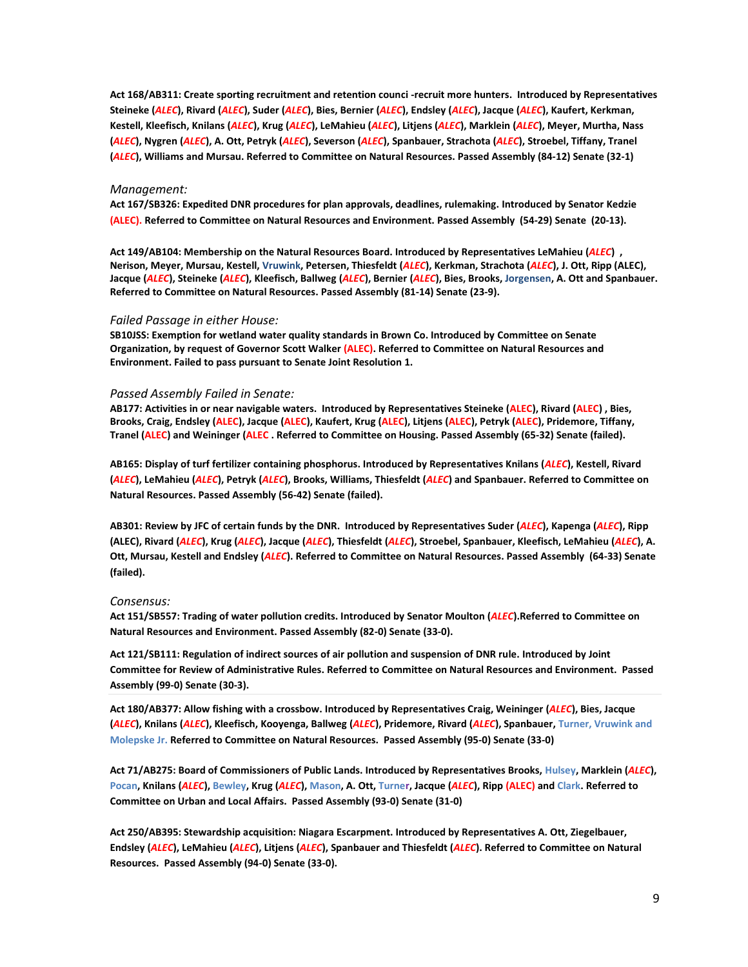**Act 168/AB311: Create sporting recruitment and retention counci -recruit more hunters. Introduced by Representatives Steineke (***ALEC***), Rivard (***ALEC***), Suder (***ALEC***), Bies, Bernier (***ALEC***), Endsley (***ALEC***), Jacque (***ALEC***), Kaufert, Kerkman, Kestell, Kleefisch, Knilans (***ALEC***), Krug (***ALEC***), LeMahieu (***ALEC***), Litjens (***ALEC***), Marklein (***ALEC***), Meyer, Murtha, Nass (***ALEC***), Nygren (***ALEC***), A. Ott, Petryk (***ALEC***), Severson (***ALEC***), Spanbauer, Strachota (***ALEC***), Stroebel, Tiffany, Tranel (***ALEC***), Williams and Mursau. Referred to Committee on Natural Resources. Passed Assembly (84-12) Senate (32-1)**

#### *Management:*

**Act 167/SB326: Expedited DNR procedures for plan approvals, deadlines, rulemaking. Introduced by Senator Kedzie (ALEC). Referred to Committee on Natural Resources and Environment. Passed Assembly (54-29) Senate (20-13).**

**Act 149/AB104: Membership on the Natural Resources Board. Introduced by Representatives LeMahieu (***ALEC***) , Nerison, Meyer, Mursau, Kestell, Vruwink, Petersen, Thiesfeldt (***ALEC***), Kerkman, Strachota (***ALEC***), J. Ott, Ripp (ALEC), Jacque (***ALEC***), Steineke (***ALEC***), Kleefisch, Ballweg (***ALEC***), Bernier (***ALEC***), Bies, Brooks, Jorgensen, A. Ott and Spanbauer. Referred to Committee on Natural Resources. Passed Assembly (81-14) Senate (23-9).** 

## *Failed Passage in either House:*

**SB10JSS: Exemption for wetland water quality standards in Brown Co. Introduced b[y Committee](https://docs.legis.wisconsin.gov/2011/committees/534) on Senate Organization, by request of Governor Scott Walker (ALEC). Referred to Committee on Natural Resources and Environment. Failed to pass pursuant to Senate Joint Resolution 1.** 

### *Passed Assembly Failed in Senate:*

**AB177: Activities in or near navigable waters. Introduced by Representatives Steineke (ALEC), Rivard (ALEC) , Bies, Brooks, Craig, Endsley (ALEC), Jacque (ALEC), Kaufert, Krug (ALEC), Litjens (ALEC), Petryk (ALEC), Pridemore, Tiffany, Tranel (ALEC) and Weininger (ALEC . Referred to Committee on Housing. Passed Assembly (65-32) Senate (failed).**

**AB165: Display of turf fertilizer containing phosphorus. Introduced by Representatives Knilans (***ALEC***), Kestell, Rivard (***ALEC***), LeMahieu (***ALEC***), Petryk (***ALEC***), Brooks, Williams, Thiesfeldt (***ALEC***) and Spanbauer. Referred to Committee on Natural Resources. Passed Assembly (56-42) Senate (failed).**

**AB301: Review by JFC of certain funds by the DNR. Introduced by Representatives Suder (***ALEC***), Kapenga (***ALEC***), Ripp (ALEC), Rivard (***ALEC***), Krug (***ALEC***), Jacque (***ALEC***), Thiesfeldt (***ALEC***), Stroebel, Spanbauer, Kleefisch, LeMahieu (***ALEC***), A. Ott, Mursau, Kestell and Endsley (***ALEC***). Referred to Committee on Natural Resources. Passed Assembly (64-33) Senate (failed).**

#### *Consensus:*

**Act 151/SB557: Trading of water pollution credits. Introduced by Senator Moulton (***ALEC***).Referred t[o Committee](https://docs.legis.wisconsin.gov/2011/committees/506) on Natural Resources and Environment. Passed Assembly (82-0) Senate (33-0).**

**Act 121/SB111: Regulation of indirect sources of air pollution and suspension of DNR rule. Introduced by Joint [Committee](https://docs.legis.wisconsin.gov/2011/committees/2) for Review of Administrative Rules. Referred to Committee on Natural Resources and Environment. Passed Assembly (99-0) Senate (30-3).** 

**Act 180/AB377: Allow fishing with a crossbow. Introduced by Representatives Craig, Weininger (***ALEC***), Bies, Jacque (***ALEC***), Knilans (***ALEC***), Kleefisch, Kooyenga, Ballweg (***ALEC***), Pridemore, Rivard (***ALEC***), Spanbauer, Turner, Vruwink and Molepske Jr. Referred to Committee on Natural Resources. Passed Assembly (95-0) Senate (33-0)**

**Act 71/AB275: Board of Commissioners of Public Lands. Introduced by Representatives Brooks, Hulsey, Marklein (***ALEC***), Pocan, Knilans (***ALEC***), Bewley, Krug (***ALEC***), Mason, A. Ott, Turner, Jacque (***ALEC***), Ripp (ALEC) and Clark. Referred to [Committee](https://docs.legis.wisconsin.gov/2011/committees/529) on Urban and Local Affairs. Passed Assembly (93-0) Senate (31-0)**

**Act 250/AB395: Stewardship acquisition: Niagara Escarpment. Introduced by Representatives A. Ott, Ziegelbauer, Endsley (***ALEC***), LeMahieu (***ALEC***), Litjens (***ALEC***), Spanbauer and Thiesfeldt (***ALEC***). Referred to Committee on Natural Resources. Passed Assembly (94-0) Senate (33-0).**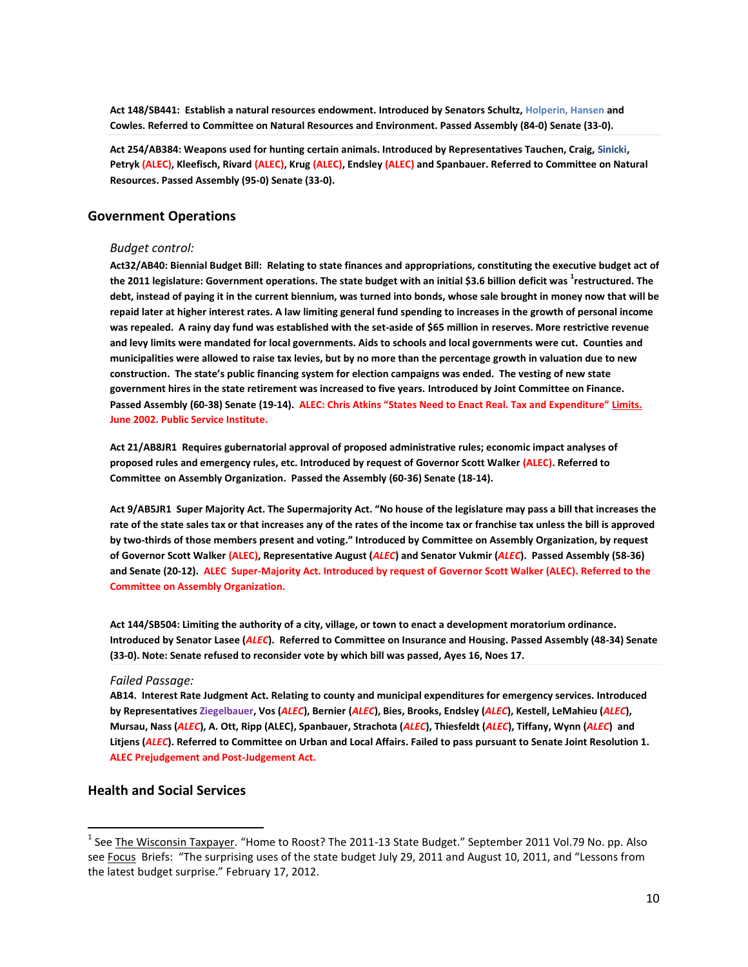**Act 148/SB441: Establish a natural resources endowment. Introduced by Senators Schultz, Holperin, Hansen and Cowles. Referred to [Committee](https://docs.legis.wisconsin.gov/2011/committees/506) on Natural Resources and Environment. Passed Assembly (84-0) Senate (33-0).**

**Act 254/AB384: Weapons used for hunting certain animals. Introduced by Representatives Tauchen, Craig, Sinicki, Petryk (ALEC), Kleefisch, Rivard (ALEC), Krug (ALEC), Endsley (ALEC) and Spanbauer. Referred t[o Committee](https://docs.legis.wisconsin.gov/2011/committees/523) on Natural Resources. Passed Assembly (95-0) Senate (33-0).**

# **Government Operations**

# *Budget control:*

**Act32/AB40: Biennial Budget Bill: Relating to state finances and appropriations, constituting the executive budget act of the 2011 legislature: Government operations. The state budget with an initial \$3.6 billion deficit was <sup>1</sup> restructured. The debt, instead of paying it in the current biennium, was turned into bonds, whose sale brought in money now that will be repaid later at higher interest rates. A law limiting general fund spending to increases in the growth of personal income was repealed. A rainy day fund was established with the set-aside of \$65 million in reserves. More restrictive revenue and levy limits were mandated for local governments. Aids to schools and local governments were cut. Counties and municipalities were allowed to raise tax levies, but by no more than the percentage growth in valuation due to new construction. The state's public financing system for election campaigns was ended. The vesting of new state government hires in the state retirement was increased to five years. Introduced by Joint Committee on Finance. Passed Assembly (60-38) Senate (19-14). ALEC: Chris Atkins "States Need to Enact Real. Tax and Expenditure" Limits. June 2002. Public Service Institute.** 

**Act 21/AB8JR1 Requires gubernatorial approval of proposed administrative rules; economic impact analyses of proposed rules and emergency rules, etc. Introduced by request of Governor Scott Walker (ALEC). Referred to Committee on Assembly Organization. Passed the Assembly (60-36) Senate (18-14).**

**Act 9/AB5JR1 Super Majority Act. The Supermajority Act. "No house of the legislature may pass a bill that increases the rate of the state sales tax or that increases any of the rates of the income tax or franchise tax unless the bill is approved by two-thirds of those members present and voting." Introduced by [Committee](https://docs.legis.wisconsin.gov/2011/committees/486) on Assembly Organization, by request of Governor Scott Walker (ALEC), Representative August (***ALEC***) and Senator Vukmir (***ALEC***). Passed Assembly (58-36) and Senate (20-12). ALEC Super-Majority Act. Introduced by request of Governor Scott Walker (ALEC). Referred to the Committee on Assembly Organization.**

**Act 144/SB504: Limiting the authority of a city, village, or town to enact a development moratorium ordinance. Introduced by Senator Lasee (***ALEC***). Referred t[o Committee](https://docs.legis.wisconsin.gov/2011/committees/503) on Insurance and Housing. Passed Assembly (48-34) Senate (33-0). Note: Senate refused to reconsider vote by which bill was passed, [Ayes 16, Noes 17.](https://docs.legis.wisconsin.gov/document/votes/2011/sv0438)** 

# *Failed Passage:*

**AB14. Interest Rate Judgment Act. Relating to county and municipal expenditures for emergency services. Introduced by Representatives Ziegelbauer, Vos (***ALEC***), Bernier (***ALEC***), Bies, Brooks, Endsley (***ALEC***), Kestell, LeMahieu (***ALEC***), Mursau, Nass (***ALEC***), A. Ott, Ripp (ALEC), Spanbauer, Strachota (***ALEC***), Thiesfeldt (***ALEC***), Tiffany, Wynn (***ALEC***) and Litjens (***ALEC***). Referred t[o Committee](https://docs.legis.wisconsin.gov/2011/committees/529) on Urban and Local Affairs. Failed to pass pursuant to Senate Joint Resolution 1. ALEC Prejudgement and Post-Judgement Act.** 

# **Health and Social Services**

 $\overline{\phantom{a}}$ 

<sup>&</sup>lt;sup>1</sup> See <u>The Wisconsin Taxpayer</u>. "Home to Roost? The 2011-13 State Budget." September 2011 Vol.79 No. pp. Also see Focus Briefs: "The surprising uses of the state budget July 29, 2011 and August 10, 2011, and "Lessons from the latest budget surprise." February 17, 2012.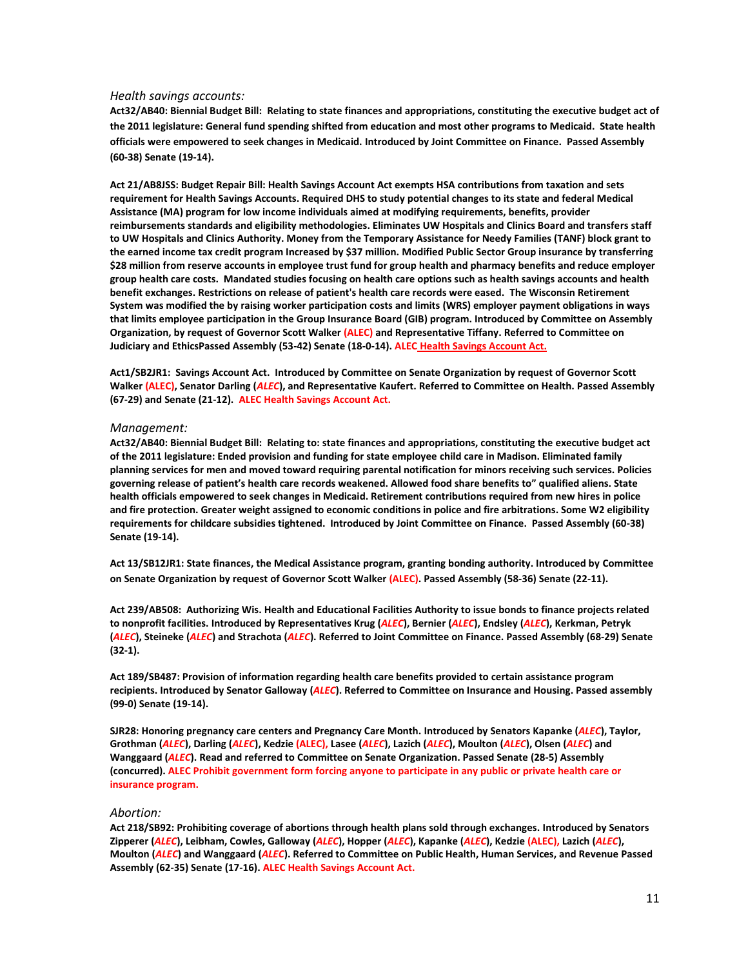#### *Health savings accounts:*

**Act32/AB40: Biennial Budget Bill: Relating to state finances and appropriations, constituting the executive budget act of the 2011 legislature: General fund spending shifted from education and most other programs to Medicaid. State health officials were empowered to seek changes in Medicaid. Introduced by Joint Committee on Finance. Passed Assembly (60-38) Senate (19-14).**

**Act 21/AB8JSS: Budget Repair Bill: Health Savings Account Act exempts HSA contributions from taxation and sets requirement for Health Savings Accounts. Required DHS to study potential changes to its state and federal Medical Assistance (MA) program for low income individuals aimed at modifying requirements, benefits, provider reimbursements standards and eligibility methodologies. Eliminates UW Hospitals and Clinics Board and transfers staff to UW Hospitals and Clinics Authority. Money from the Temporary Assistance for Needy Families (TANF) block grant to the earned income tax credit program Increased by \$37 million. Modified Public Sector Group insurance by transferring \$28 million from reserve accounts in employee trust fund for group health and pharmacy benefits and reduce employer group health care costs. Mandated studies focusing on health care options such as health savings accounts and health benefit exchanges. Restrictions on release of patient's health care records were eased. The Wisconsin Retirement System was modified the by raising worker participation costs and limits (WRS) employer payment obligations in ways that limits employee participation in the Group Insurance Board (GIB) program. Introduced by [Committee](https://docs.legis.wisconsin.gov/2011/committees/486) on Assembly Organization, by request of Governor Scott Walker (ALEC) and Representative Tiffany. Referred t[o Committee](https://docs.legis.wisconsin.gov/2011/committees/521) on Judiciary and EthicsPassed Assembly (53-42) Senate (18-0-14). ALEC Health Savings Account Act.**

**Act1/SB2JR1: Savings Account Act. Introduced b[y Committee](https://docs.legis.wisconsin.gov/2011/committees/534) on Senate Organization by request of Governor Scott Walker (ALEC), Senator Darling (***ALEC***), and Representative Kaufert. Referred t[o Committee](https://docs.legis.wisconsin.gov/2011/committees/502) on Health. Passed Assembly (67-29) and Senate (21-12). ALEC Health Savings Account Act.** 

## *Management:*

**Act32/AB40: Biennial Budget Bill: Relating to: state finances and appropriations, constituting the executive budget act of the 2011 legislature: Ended provision and funding for state employee child care in Madison. Eliminated family planning services for men and moved toward requiring parental notification for minors receiving such services. Policies governing release of patient's health care records weakened. Allowed food share benefits to" qualified aliens. State health officials empowered to seek changes in Medicaid. Retirement contributions required from new hires in police and fire protection. Greater weight assigned to economic conditions in police and fire arbitrations. Some W2 eligibility requirements for childcare subsidies tightened. Introduced by Joint Committee on Finance. Passed Assembly (60-38) Senate (19-14).** 

**Act 13/SB12JR1: State finances, the Medical Assistance program, granting bonding authority. Introduced by Committee on Senate Organization by request of Governor Scott Walker (ALEC). Passed Assembly (58-36) Senate (22-11).**

**Act 239/AB508: Authorizing Wis. Health and Educational Facilities Authority to issue bonds to finance projects related to nonprofit facilities. Introduced by Representatives Krug (***ALEC***), Bernier (***ALEC***), Endsley (***ALEC***), Kerkman, Petryk (***ALEC***), Steineke (***ALEC***) and Strachota (***ALEC***). Referred to Joint [Committee](https://docs.legis.wisconsin.gov/2011/committees/40) on Finance. Passed Assembly (68-29) Senate (32-1).**

**Act 189/SB487: Provision of information regarding health care benefits provided to certain assistance program recipients. Introduced by Senator Galloway (***ALEC***). Referred to [Committee](https://docs.legis.wisconsin.gov/2011/committees/503) on Insurance and Housing. Passed assembly (99-0) Senate (19-14).**

**SJR28: Honoring pregnancy care centers and Pregnancy Care Month. Introduced by Senators Kapanke (***ALEC***), Taylor, Grothman (***ALEC***), Darling (***ALEC***), Kedzie (ALEC), Lasee (***ALEC***), Lazich (***ALEC***), Moulton (***ALEC***), Olsen (***ALEC***) and Wanggaard (***ALEC***). Read and referred t[o Committee](https://docs.legis.wisconsin.gov/2011/committees/534) on Senate Organization. Passed Senate (28-5) Assembly (concurred). ALEC Prohibit government form forcing anyone to participate in any public or private health care or insurance program.**

# *Abortion:*

**Act 218/SB92: Prohibiting coverage of abortions through health plans sold through exchanges. Introduced by Senators Zipperer (***ALEC***), Leibham, Cowles, Galloway (***ALEC***), Hopper (***ALEC***), Kapanke (***ALEC***), Kedzie (ALEC), Lazich (***ALEC***), Moulton (***ALEC***) and Wanggaard (***ALEC***). Referred t[o Committee](https://docs.legis.wisconsin.gov/2011/committees/507) on Public Health, Human Services, and Revenue Passed Assembly (62-35) Senate (17-16). ALEC Health Savings Account Act.**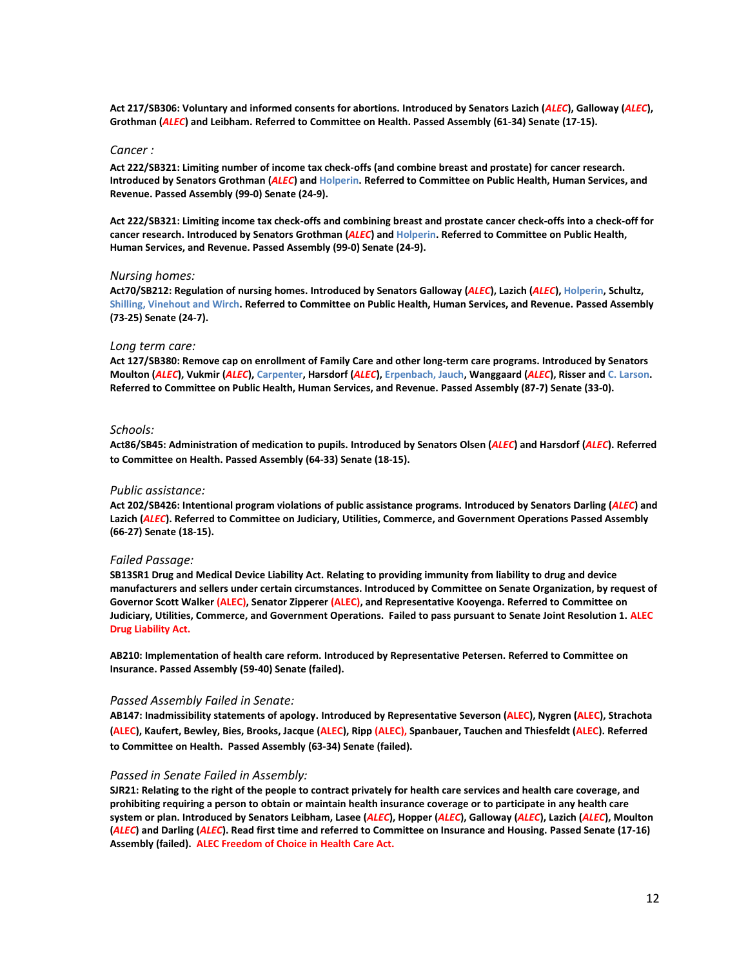**Act 217/SB306: Voluntary and informed consents for abortions. Introduced by Senators Lazich (***ALEC***), Galloway (***ALEC***), Grothman (***ALEC***) and Leibham. Referred t[o Committee](https://docs.legis.wisconsin.gov/2011/committees/502) on Health. Passed Assembly (61-34) Senate (17-15).**

#### *Cancer :*

**Act 222/SB321: Limiting number of income tax check-offs (and combine breast and prostate) for cancer research. Introduced by Senators Grothman (***ALEC***) and Holperin. Referred t[o Committee](https://docs.legis.wisconsin.gov/2011/committees/507) on Public Health, Human Services, and Revenue. Passed Assembly (99-0) Senate (24-9).**

**Act 222/SB321: Limiting income tax check-offs and combining breast and prostate cancer check-offs into a check-off for cancer research. Introduced by Senators Grothman (***ALEC***) and Holperin. Referred t[o Committee](https://docs.legis.wisconsin.gov/2011/committees/507) on Public Health, Human Services, and Revenue. Passed Assembly (99-0) Senate (24-9).**

#### *Nursing homes:*

**Act70/SB212: Regulation of nursing homes. Introduced by Senators Galloway (***ALEC***), Lazich (***ALEC***), Holperin, Schultz, Shilling, Vinehout and Wirch. Referred t[o Committee](https://docs.legis.wisconsin.gov/2011/committees/507) on Public Health, Human Services, and Revenue. Passed Assembly (73-25) Senate (24-7).**

#### *Long term care:*

**Act 127/SB380: Remove cap on enrollment of Family Care and other long-term care programs. Introduced by Senators Moulton (***ALEC***), Vukmir (***ALEC***), Carpenter, Harsdorf (***ALEC***), Erpenbach, Jauch, Wanggaard (***ALEC***), Risser and C. Larson. Referred to [Committee](https://docs.legis.wisconsin.gov/2011/committees/507) on Public Health, Human Services, and Revenue. Passed Assembly (87-7) Senate (33-0).**

# *Schools:*

**Act86/SB45: Administration of medication to pupils. Introduced by Senators Olsen (***ALEC***) and Harsdorf (***ALEC***). Referred to Committee on Health. Passed Assembly (64-33) Senate (18-15).**

# *Public assistance:*

**Act 202/SB426: Intentional program violations of public assistance programs. Introduced by Senators Darling (***ALEC***) and Lazich (***ALEC***). Referred to [Committee](https://docs.legis.wisconsin.gov/2011/committees/504) on Judiciary, Utilities, Commerce, and Government Operations Passed Assembly (66-27) Senate (18-15).**

#### *Failed Passage:*

**SB13SR1 Drug and Medical Device Liability Act. Relating to providing immunity from liability to drug and device manufacturers and sellers under certain circumstances. Introduced by [Committee](https://docs.legis.wisconsin.gov/2011/committees/534) on Senate Organization, by request of Governor Scott Walker (ALEC), Senator Zipperer (ALEC), and Representative Kooyenga. Referred t[o Committee](https://docs.legis.wisconsin.gov/2011/committees/504) on Judiciary, Utilities, Commerce, and Government Operations. Failed to pass pursuant to Senate Joint Resolution 1. ALEC Drug Liability Act.** 

**AB210: Implementation of health care reform. Introduced by Representative Petersen. Referred to [Committee](https://docs.legis.wisconsin.gov/2011/committees/519) on Insurance. Passed Assembly (59-40) Senate (failed).**

#### *Passed Assembly Failed in Senate:*

**AB147: Inadmissibility statements of apology. Introduced by Representative Severson (ALEC), Nygren (ALEC), Strachota (ALEC), Kaufert, Bewley, Bies, Brooks, Jacque (ALEC), Ripp (ALEC), Spanbauer, Tauchen and Thiesfeldt (ALEC). Referred to Committee on Health. Passed Assembly (63-34) Senate (failed).**

#### *Passed in Senate Failed in Assembly:*

**SJR21: Relating to the right of the people to contract privately for health care services and health care coverage, and prohibiting requiring a person to obtain or maintain health insurance coverage or to participate in any health care system or plan. Introduced by Senators Leibham, Lasee (***ALEC***), Hopper (***ALEC***), Galloway (***ALEC***), Lazich (***ALEC***), Moulton (***ALEC***) and Darling (***ALEC***). Read first time and referred t[o Committee](https://docs.legis.wisconsin.gov/2011/committees/503) on Insurance and Housing. Passed Senate (17-16) Assembly (failed). ALEC Freedom of Choice in Health Care Act.**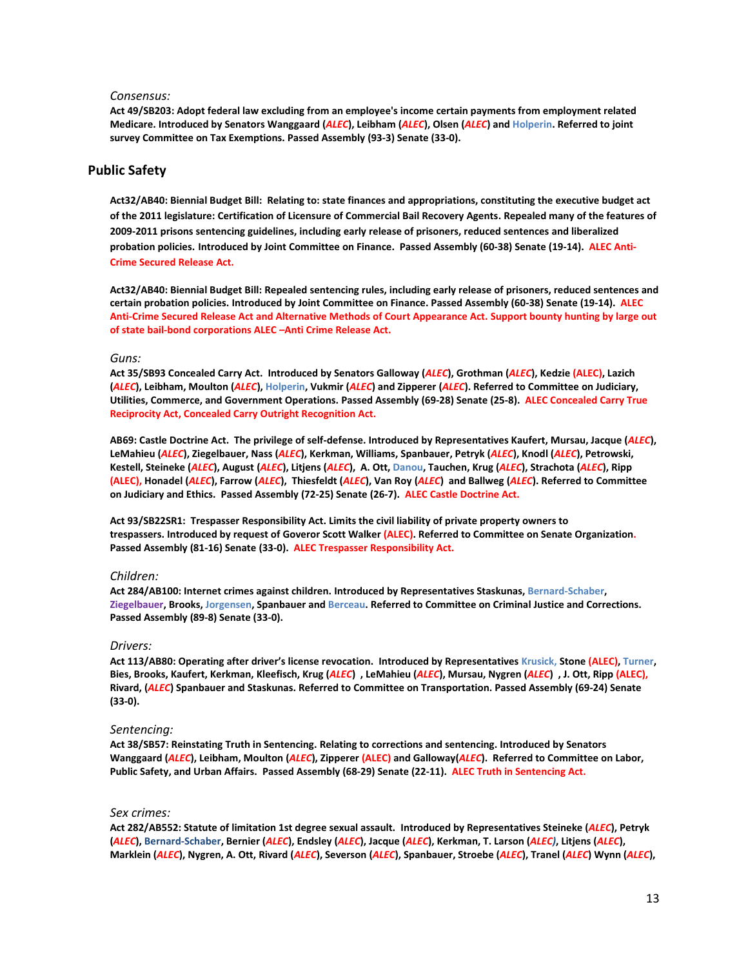#### *Consensus:*

**Act 49/SB203: Adopt federal law excluding from an employee's income certain payments from employment related Medicare. Introduced by Senators Wanggaard (***ALEC***), Leibham (***ALEC***), Olsen (***ALEC***) and Holperin. Referred to joint surve[y Committee](https://docs.legis.wisconsin.gov/2011/committees/94) on Tax Exemptions. Passed Assembly (93-3) Senate (33-0).**

# **Public Safety**

**Act32/AB40: Biennial Budget Bill: Relating to: state finances and appropriations, constituting the executive budget act of the 2011 legislature: Certification of Licensure of Commercial Bail Recovery Agents. Repealed many of the features of 2009-2011 prisons sentencing guidelines, including early release of prisoners, reduced sentences and liberalized probation policies. Introduced by Joint Committee on Finance. Passed Assembly (60-38) Senate (19-14). ALEC Anti-Crime Secured Release Act.** 

**Act32/AB40: Biennial Budget Bill: Repealed sentencing rules, including early release of prisoners, reduced sentences and certain probation policies. Introduced by Joint Committee on Finance. Passed Assembly (60-38) Senate (19-14). ALEC Anti-Crime Secured Release Act and Alternative Methods of Court Appearance Act. Support bounty hunting by large out of state bail-bond corporations ALEC –Anti Crime Release Act.**

#### *Guns:*

**Act 35/SB93 Concealed Carry Act. Introduced by Senators Galloway (***ALEC***), Grothman (***ALEC***), Kedzie (ALEC), Lazich (***ALEC***), Leibham, Moulton (***ALEC***), Holperin, Vukmir (***ALEC***) and Zipperer (***ALEC***). Referred t[o Committee](https://docs.legis.wisconsin.gov/2011/committees/504) on Judiciary, Utilities, Commerce, and Government Operations. Passed Assembly (69-28) Senate (25-8). ALEC Concealed Carry True Reciprocity Act, Concealed Carry Outright Recognition Act.**

**AB69: Castle Doctrine Act. The privilege of self-defense. Introduced by Representatives Kaufert, Mursau, Jacque (***ALEC***), LeMahieu (***ALEC***), Ziegelbauer, Nass (***ALEC***), Kerkman, Williams, Spanbauer, Petryk (***ALEC***), Knodl (***ALEC***), Petrowski, Kestell, Steineke (***ALEC***), August (***ALEC***), Litjens (***ALEC***), A. Ott, Danou, Tauchen, Krug (***ALEC***), Strachota (***ALEC***), Ripp (ALEC), Honadel (***ALEC***), Farrow (***ALEC***), Thiesfeldt (***ALEC***), Van Roy (***ALEC***) and Ballweg (***ALEC***). Referred to Committee on Judiciary and Ethics. Passed Assembly (72-25) Senate (26-7). ALEC Castle Doctrine Act.**

**Act 93/SB22SR1: Trespasser Responsibility Act. Limits the civil liability of private property owners to trespassers. Introduced by request of Goveror Scott Walker (ALEC). Referred to Committee on Senate Organization. Passed Assembly (81-16) Senate (33-0). ALEC Trespasser Responsibility Act.** 

# *Children:*

**Act 284/AB100: Internet crimes against children. Introduced by Representatives Staskunas, Bernard-Schaber, Ziegelbauer, Brooks, Jorgensen, Spanbauer and Berceau. Referred t[o Committee](https://docs.legis.wisconsin.gov/2011/committees/496) on Criminal Justice and Corrections. Passed Assembly (89-8) Senate (33-0).**

# *Drivers:*

**Act 113/AB80: Operating after driver's license revocation. Introduced by Representatives Krusick, Stone (ALEC), Turner, Bies, Brooks, Kaufert, Kerkman, Kleefisch, Krug (***ALEC***) , LeMahieu (***ALEC***), Mursau, Nygren (***ALEC***) , J. Ott, Ripp (ALEC), Rivard, (***ALEC***) Spanbauer and Staskunas. Referred t[o Committee](https://docs.legis.wisconsin.gov/2011/committees/528) on Transportation. Passed Assembly (69-24) Senate (33-0).**

# *Sentencing:*

**Act 38/SB57: Reinstating Truth in Sentencing. Relating to corrections and sentencing. Introduced by Senators Wanggaard (***ALEC***), Leibham, Moulton (***ALEC***), Zipperer (ALEC) and Galloway(***ALEC***). Referred t[o Committee](https://docs.legis.wisconsin.gov/2011/committees/505) on Labor, Public Safety, and Urban Affairs. Passed Assembly (68-29) Senate (22-11). ALEC Truth in Sentencing Act.**

## *Sex crimes:*

**Act 282/AB552: Statute of limitation 1st degree sexual assault. Introduced by Representatives Steineke (***ALEC***), Petryk (***ALEC***), Bernard-Schaber, Bernier (***ALEC***), Endsley (***ALEC***), Jacque (***ALEC***), Kerkman, T. Larson (***ALEC)***, Litjens (***ALEC***), Marklein (***ALEC***), Nygren, A. Ott, Rivard (***ALEC***), Severson (***ALEC***), Spanbauer, Stroebe (***ALEC***), Tranel (***ALEC***) Wynn (***ALEC***),**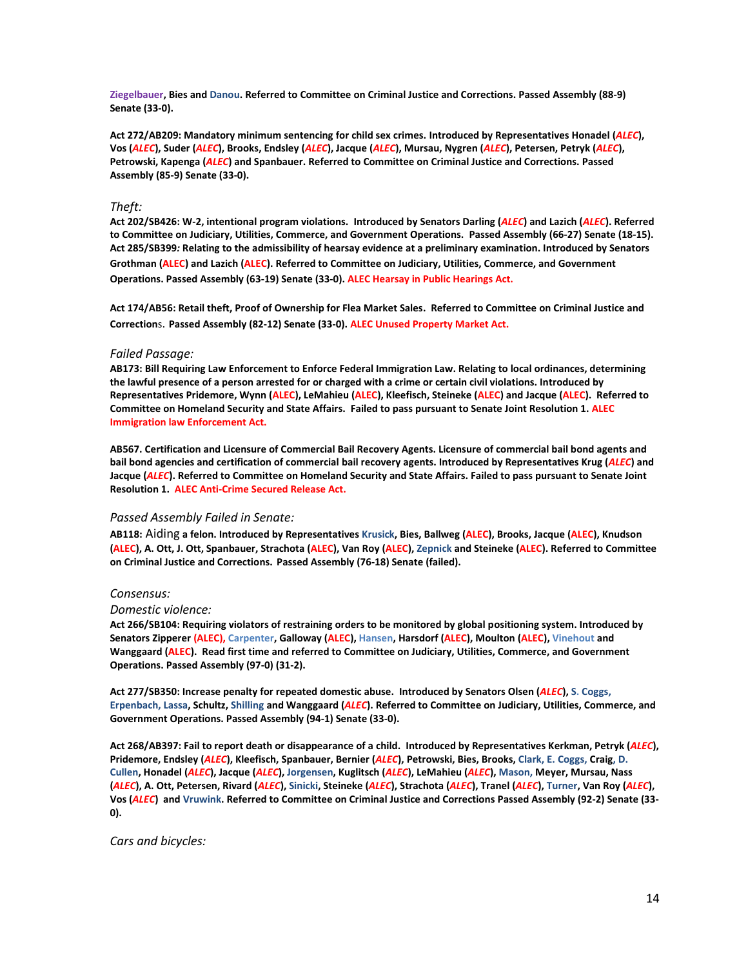**Ziegelbauer, Bies and Danou. Referred t[o Committee](https://docs.legis.wisconsin.gov/2011/committees/496) on Criminal Justice and Corrections. Passed Assembly (88-9) Senate (33-0).**

**Act 272/AB209: Mandatory minimum sentencing for child sex crimes. Introduced by Representatives Honadel (***ALEC***), Vos (***ALEC***), Suder (***ALEC***), Brooks, Endsley (***ALEC***), Jacque (***ALEC***), Mursau, Nygren (***ALEC***), Petersen, Petryk (***ALEC***), Petrowski, Kapenga (***ALEC***) and Spanbauer. Referred t[o Committee](https://docs.legis.wisconsin.gov/2011/committees/496) on Criminal Justice and Corrections. Passed Assembly (85-9) Senate (33-0).**

# *Theft:*

**Act 202/SB426: W-2, intentional program violations. Introduced by Senators Darling (***ALEC***) and Lazich (***ALEC***). Referred to [Committee](https://docs.legis.wisconsin.gov/2011/committees/504) on Judiciary, Utilities, Commerce, and Government Operations. Passed Assembly (66-27) Senate (18-15). Act 285/SB399***:* **Relating to the admissibility of hearsay evidence at a preliminary examination. Introduced by Senators Grothman (ALEC) and Lazich (ALEC). Referred to Committee on Judiciary, Utilities, Commerce, and Government Operations. Passed Assembly (63-19) Senate (33-0). ALEC Hearsay in Public Hearings Act.**

**Act 174/AB56: Retail theft, Proof of Ownership for Flea Market Sales. Referred to Committee on Criminal Justice and Correction**s. **Passed Assembly (82-12) Senate (33-0). ALEC Unused Property Market Act.**

# *Failed Passage:*

**AB173: Bill Requiring Law Enforcement to Enforce Federal Immigration Law. Relating to local ordinances, determining the lawful presence of a person arrested for or charged with a crime or certain civil violations. Introduced by Representatives Pridemore, Wynn (ALEC), LeMahieu (ALEC), Kleefisch, Steineke (ALEC) and Jacque (ALEC). Referred to Committee on Homeland Security and State Affairs. Failed to pass pursuant to Senate Joint Resolution 1. ALEC Immigration law Enforcement Act.**

**AB567. Certification and Licensure of Commercial Bail Recovery Agents. Licensure of commercial bail bond agents and bail bond agencies and certification of commercial bail recovery agents. Introduced by Representatives Krug (***ALEC***) and Jacque (***ALEC***). Referred to Committee on Homeland Security and State Affairs. Failed to pass pursuant to Senate Joint Resolution 1. ALEC Anti-Crime Secured Release Act.** 

# *Passed Assembly Failed in Senate:*

**AB118:** Aiding **a felon. Introduced by Representatives Krusick, Bies, Ballweg (ALEC), Brooks, Jacque (ALEC), Knudson (ALEC), A. Ott, J. Ott, Spanbauer, Strachota (ALEC), Van Roy (ALEC), Zepnick and Steineke (ALEC). Referred to [Committee](https://docs.legis.wisconsin.gov/2011/committees/496) on Criminal Justice and Corrections. Passed Assembly (76-18) Senate (failed).**

# *Consensus:*

# *Domestic violence:*

**Act 266/SB104: Requiring violators of restraining orders to be monitored by global positioning system. Introduced by Senators Zipperer (ALEC), Carpenter, Galloway (ALEC), Hansen, Harsdorf (ALEC), Moulton (ALEC), Vinehout and Wanggaard (ALEC). Read first time and referred t[o Committee](https://docs.legis.wisconsin.gov/2011/committees/504) on Judiciary, Utilities, Commerce, and Government Operations. Passed Assembly (97-0) (31-2).**

**Act 277/SB350: Increase penalty for repeated domestic abuse. Introduced by Senators Olsen (***ALEC***), S. Coggs, Erpenbach, Lassa, Schultz, Shilling and Wanggaard (***ALEC***). Referred t[o Committee](https://docs.legis.wisconsin.gov/2011/committees/504) on Judiciary, Utilities, Commerce, and Government Operations. Passed Assembly (94-1) Senate (33-0).**

**Act 268/AB397: Fail to report death or disappearance of a child. Introduced by Representatives Kerkman, Petryk (***ALEC***), Pridemore, Endsley (***ALEC***), Kleefisch, Spanbauer, Bernier (***ALEC***), Petrowski, Bies, Brooks, Clark, E. Coggs, Craig, D. Cullen, Honadel (***ALEC***), Jacque (***ALEC***), Jorgensen, Kuglitsch (***ALEC***), LeMahieu (***ALEC***), Mason, Meyer, Mursau, Nass (***ALEC***), A. Ott, Petersen, Rivard (***ALEC***), Sinicki, Steineke (***ALEC***), Strachota (***ALEC***), Tranel (***ALEC***), Turner, Van Roy (***ALEC***), Vos (***ALEC***) and Vruwink. Referred t[o Committee](https://docs.legis.wisconsin.gov/2011/committees/496) on Criminal Justice and Corrections Passed Assembly (92-2) Senate (33- 0).**

*Cars and bicycles:*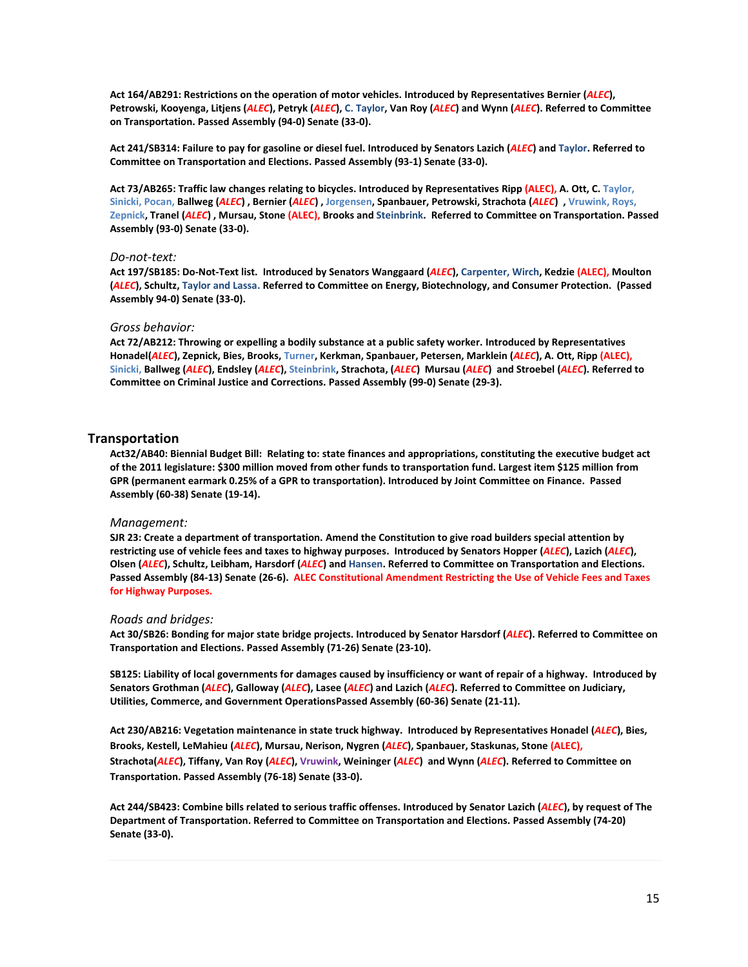**Act 164/AB291: Restrictions on the operation of motor vehicles. Introduced by Representatives Bernier (***ALEC***), Petrowski, Kooyenga, Litjens (***ALEC***), Petryk (***ALEC***), C. Taylor, Van Roy (***ALEC***) and Wynn (***ALEC***). Referred t[o Committee](https://docs.legis.wisconsin.gov/2011/committees/528) on Transportation. Passed Assembly (94-0) Senate (33-0).**

**Act 241/SB314: Failure to pay for gasoline or diesel fuel. Introduced by Senators Lazich (***ALEC***) and Taylor. Referred to [Committee](https://docs.legis.wisconsin.gov/2011/committees/510) on Transportation and Elections. Passed Assembly (93-1) Senate (33-0).**

**Act 73/AB265: Traffic law changes relating to bicycles. Introduced by Representatives Ripp (ALEC), A. Ott, C. Taylor, Sinicki, Pocan, Ballweg (***ALEC***) , Bernier (***ALEC***) , Jorgensen, Spanbauer, Petrowski, Strachota (***ALEC***) , Vruwink, Roys, Zepnick, Tranel (***ALEC***) , Mursau, Stone (ALEC), Brooks and Steinbrink. Referred to [Committee](https://docs.legis.wisconsin.gov/2011/committees/528) on Transportation. Passed Assembly (93-0) Senate (33-0).**

# *Do-not-text:*

**Act 197/SB185: Do-Not-Text list. Introduced by Senators Wanggaard (***ALEC***), Carpenter, Wirch, Kedzie (ALEC), Moulton (***ALEC***), Schultz, Taylor and Lassa. Referred t[o Committee](https://docs.legis.wisconsin.gov/2011/committees/499) on Energy, Biotechnology, and Consumer Protection. (Passed Assembly 94-0) Senate (33-0).**

# *Gross behavior:*

**Act 72/AB212: Throwing or expelling a bodily substance at a public safety worker. Introduced by Representatives Honadel(***ALEC***), Zepnick, Bies, Brooks, Turner, Kerkman, Spanbauer, Petersen, Marklein (***ALEC***), A. Ott, Ripp (ALEC), Sinicki, Ballweg (***ALEC***), Endsley (***ALEC***), Steinbrink, Strachota, (***ALEC***) Mursau (***ALEC***) and Stroebel (***ALEC***). Referred to [Committee](https://docs.legis.wisconsin.gov/2011/committees/496) on Criminal Justice and Corrections. Passed Assembly (99-0) Senate (29-3).**

# **Transportation**

**Act32/AB40: Biennial Budget Bill: Relating to: state finances and appropriations, constituting the executive budget act of the 2011 legislature: \$300 million moved from other funds to transportation fund. Largest item \$125 million from GPR (permanent earmark 0.25% of a GPR to transportation). Introduced by Joint Committee on Finance. Passed Assembly (60-38) Senate (19-14).**

# *Management:*

**SJR 23: Create a department of transportation. Amend the Constitution to give road builders special attention by restricting use of vehicle fees and taxes to highway purposes. Introduced by Senators Hopper (***ALEC***), Lazich (***ALEC***), Olsen (***ALEC***), Schultz, Leibham, Harsdorf (***ALEC***) and Hansen. Referred t[o Committee](https://docs.legis.wisconsin.gov/2011/committees/510) on Transportation and Elections. Passed Assembly (84-13) Senate (26-6). ALEC Constitutional Amendment Restricting the Use of Vehicle Fees and Taxes for Highway Purposes.**

# *Roads and bridges:*

**Act 30/SB26: Bonding for major state bridge projects. Introduced by Senator Harsdorf (***ALEC***). Referred t[o Committee](https://docs.legis.wisconsin.gov/2011/committees/510) on Transportation and Elections. Passed Assembly (71-26) Senate (23-10).**

**SB125: Liability of local governments for damages caused by insufficiency or want of repair of a highway. Introduced by Senators Grothman (***ALEC***), Galloway (***ALEC***), Lasee (***ALEC***) and Lazich (***ALEC***). Referred t[o Committee](https://docs.legis.wisconsin.gov/2011/committees/504) on Judiciary, Utilities, Commerce, and Government OperationsPassed Assembly (60-36) Senate (21-11).**

**Act 230/AB216: Vegetation maintenance in state truck highway. Introduced by Representatives Honadel (***ALEC***), Bies, Brooks, Kestell, LeMahieu (***ALEC***), Mursau, Nerison, Nygren (***ALEC***), Spanbauer, Staskunas, Stone (ALEC), Strachota(***ALEC***), Tiffany, Van Roy (***ALEC***), Vruwink, Weininger (***ALEC***) and Wynn (***ALEC***). Referred to Committee on Transportation. Passed Assembly (76-18) Senate (33-0).**

**Act 244/SB423: Combine bills related to serious traffic offenses. Introduced by Senator Lazich (***ALEC***), by request of The Department of Transportation. Referred t[o Committee](https://docs.legis.wisconsin.gov/2011/committees/510) on Transportation and Elections. Passed Assembly (74-20) Senate (33-0).**